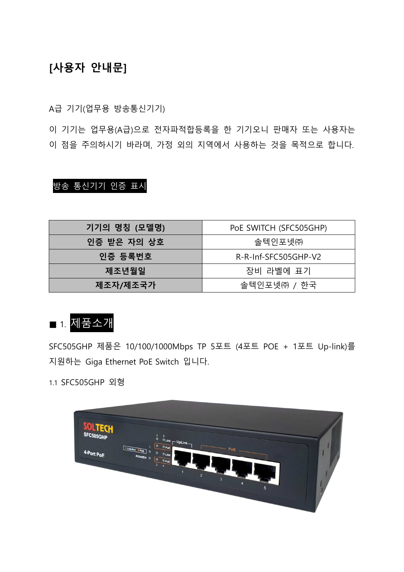## [사용자 안내문]

A급 기기(업무용 방송통신기기)

이 기기는 업무용(A급)으로 전자파적합등록을 한 기기오니 판매자 또는 사용자는 이 점을 주의하시기 바라며, 가정 외의 지역에서 사용하는 것을 목적으로 합니다.

### 방송 통신기기 인증 표시

| 기기의 명칭 (모델명) | PoE SWITCH (SFC505GHP) |
|--------------|------------------------|
| 인증 받은 자의 상호  | 솔텍인포넷㈜                 |
| 인증 등록번호      | R-R-Inf-SFC505GHP-V2   |
| 제조년월일        | 장비 라벨에 표기              |
| 제조자/제조국가     | 솔텍인포넷㈜ / 한국            |

# ■ 1. 제품소개

SFC505GHP 제품은 10/100/1000Mbps TP 5포트 (4포트 POE + 1포트 Up-link)를 지원하는 Giga Ethernet PoE Switch 입니다.

1.1 SFC505GHP 외형

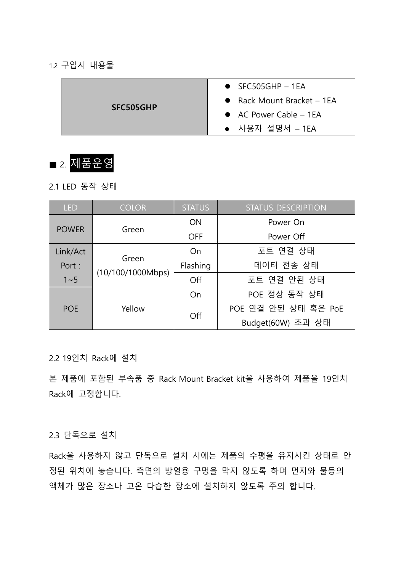#### 1.2 구입시 내용물

| <b>SFC505GHP</b> | $\bullet$ SFC505GHP - 1EA        |
|------------------|----------------------------------|
|                  | • Rack Mount Bracket $-$ 1EA     |
|                  | $\bullet$ AC Power Cable $-$ 1EA |
|                  | • 사용자 설명서 - 1EA                  |



2.1 LED 동작 상태

| <b>LED</b>           | <b>COLOR</b>               | <b>STATUS</b> | <b>STATUS DESCRIPTION</b> |
|----------------------|----------------------------|---------------|---------------------------|
|                      | <b>POWER</b><br>Green      | <b>ON</b>     | Power On                  |
|                      |                            | <b>OFF</b>    | Power Off                 |
| Link/Act             | Green<br>(10/100/1000Mbps) | On            | 포트 연결 상태                  |
| Port:                |                            | Flashing      | 데이터 전송 상태                 |
| $1 - 5$              |                            | Off           | 포트 연결 안된 상태               |
| Yellow<br><b>POE</b> | On                         | POE 정상 동작 상태  |                           |
|                      |                            | Off           | POE 연결 안된 상태 혹은 PoE       |
|                      |                            |               | Budget(60W) 초과 상태         |

2.2 19인치 Rack에 설치

본 제품에 포함된 부속품 중 Rack Mount Bracket kit을 사용하여 제품을 19인치 Rack에 고정합니다.

#### 2.3 단독으로 설치

Rack을 사용하지 않고 단독으로 설치 시에는 제품의 수평을 유지시킨 상태로 안 정된 위치에 놓습니다. 측면의 방열용 구멍을 막지 않도록 하며 먼지와 물등의 액체가 많은 장소나 고온 다습한 장소에 설치하지 않도록 주의 합니다.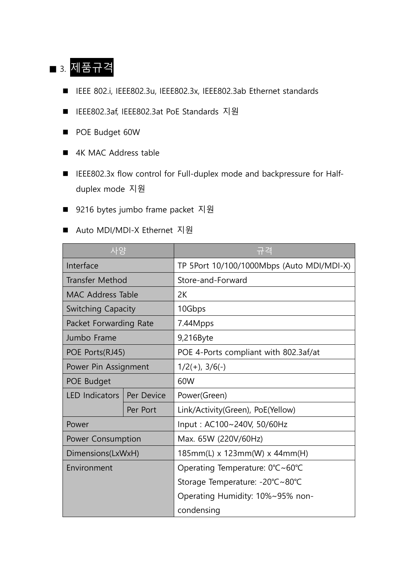# ■ 3. 제품규격

- IEEE 802.i, IEEE802.3u, IEEE802.3x, IEEE802.3ab Ethernet standards
- IEEE802.3af, IEEE802.3at PoE Standards 지원
- POE Budget 60W
- 4K MAC Address table
- IEEE802.3x flow control for Full-duplex mode and backpressure for Halfduplex mode 지원
- 9216 bytes jumbo frame packet 지원
- Auto MDI/MDI-X Ethernet 지원

| 사양                        |            | 규격                                        |  |
|---------------------------|------------|-------------------------------------------|--|
| Interface                 |            | TP 5Port 10/100/1000Mbps (Auto MDI/MDI-X) |  |
| <b>Transfer Method</b>    |            | Store-and-Forward                         |  |
| MAC Address Table         |            | 2K                                        |  |
| <b>Switching Capacity</b> |            | 10Gbps                                    |  |
| Packet Forwarding Rate    |            | 7.44Mpps                                  |  |
| Jumbo Frame               |            | 9,216Byte                                 |  |
| POE Ports(RJ45)           |            | POE 4-Ports compliant with 802.3af/at     |  |
| Power Pin Assignment      |            | $1/2(+), 3/6(-)$                          |  |
| POE Budget                |            | 60W                                       |  |
| LED Indicators            | Per Device | Power(Green)                              |  |
|                           | Per Port   | Link/Activity(Green), PoE(Yellow)         |  |
| Power                     |            | Input: AC100~240V, 50/60Hz                |  |
| Power Consumption         |            | Max. 65W (220V/60Hz)                      |  |
| Dimensions(LxWxH)         |            | $185mm(L)$ x 123mm(W) x 44mm(H)           |  |
| Environment               |            | Operating Temperature: 0°C~60°C           |  |
|                           |            | Storage Temperature: -20℃~80℃             |  |
|                           |            | Operating Humidity: 10%~95% non-          |  |
|                           |            | condensing                                |  |